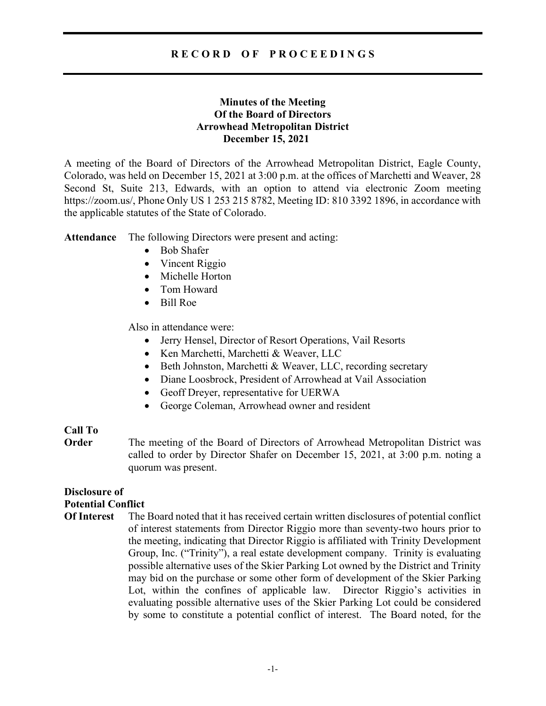# R E C O R D O F P R O C E E D I N G S

# Minutes of the Meeting Of the Board of Directors Arrowhead Metropolitan District December 15, 2021

A meeting of the Board of Directors of the Arrowhead Metropolitan District, Eagle County, Colorado, was held on December 15, 2021 at 3:00 p.m. at the offices of Marchetti and Weaver, 28 Second St, Suite 213, Edwards, with an option to attend via electronic Zoom meeting https://zoom.us/, Phone Only US 1 253 215 8782, Meeting ID: 810 3392 1896, in accordance with the applicable statutes of the State of Colorado.

Attendance The following Directors were present and acting:

- Bob Shafer
- Vincent Riggio
- Michelle Horton
- Tom Howard
- Bill Roe

Also in attendance were:

- Jerry Hensel, Director of Resort Operations, Vail Resorts
- Ken Marchetti, Marchetti & Weaver, LLC
- Beth Johnston, Marchetti & Weaver, LLC, recording secretary
- Diane Loosbrock, President of Arrowhead at Vail Association
- Geoff Dreyer, representative for UERWA
- George Coleman, Arrowhead owner and resident

## Call To

**Order** The meeting of the Board of Directors of Arrowhead Metropolitan District was called to order by Director Shafer on December 15, 2021, at 3:00 p.m. noting a quorum was present.

# Disclosure of Potential Conflict

Of Interest The Board noted that it has received certain written disclosures of potential conflict of interest statements from Director Riggio more than seventy-two hours prior to the meeting, indicating that Director Riggio is affiliated with Trinity Development Group, Inc. ("Trinity"), a real estate development company. Trinity is evaluating possible alternative uses of the Skier Parking Lot owned by the District and Trinity may bid on the purchase or some other form of development of the Skier Parking Lot, within the confines of applicable law. Director Riggio's activities in evaluating possible alternative uses of the Skier Parking Lot could be considered by some to constitute a potential conflict of interest. The Board noted, for the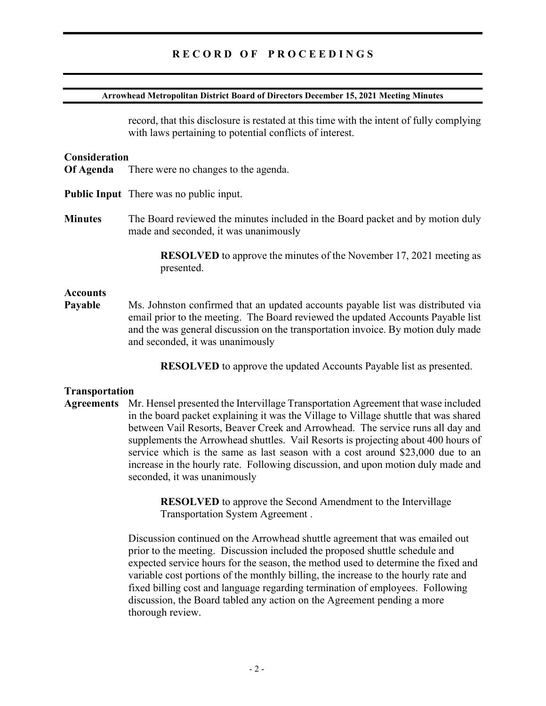#### Arrowhead Metropolitan District Board of Directors December 15, 2021 Meeting Minutes

record, that this disclosure is restated at this time with the intent of fully complying with laws pertaining to potential conflicts of interest.

#### **Consideration**

- Of Agenda There were no changes to the agenda.
- Public Input There was no public input.
- Minutes The Board reviewed the minutes included in the Board packet and by motion duly made and seconded, it was unanimously

 RESOLVED to approve the minutes of the November 17, 2021 meeting as presented.

#### **Accounts**

Payable Ms. Johnston confirmed that an updated accounts payable list was distributed via email prior to the meeting. The Board reviewed the updated Accounts Payable list and the was general discussion on the transportation invoice. By motion duly made and seconded, it was unanimously

RESOLVED to approve the updated Accounts Payable list as presented.

#### Transportation

Agreements Mr. Hensel presented the Intervillage Transportation Agreement that wase included in the board packet explaining it was the Village to Village shuttle that was shared between Vail Resorts, Beaver Creek and Arrowhead. The service runs all day and supplements the Arrowhead shuttles. Vail Resorts is projecting about 400 hours of service which is the same as last season with a cost around \$23,000 due to an increase in the hourly rate. Following discussion, and upon motion duly made and seconded, it was unanimously

> RESOLVED to approve the Second Amendment to the Intervillage Transportation System Agreement .

Discussion continued on the Arrowhead shuttle agreement that was emailed out prior to the meeting. Discussion included the proposed shuttle schedule and expected service hours for the season, the method used to determine the fixed and variable cost portions of the monthly billing, the increase to the hourly rate and fixed billing cost and language regarding termination of employees. Following discussion, the Board tabled any action on the Agreement pending a more thorough review.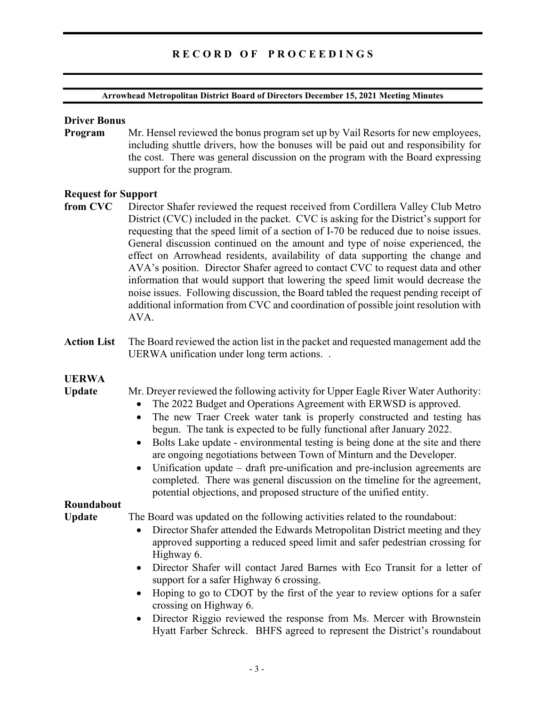#### Arrowhead Metropolitan District Board of Directors December 15, 2021 Meeting Minutes

### Driver Bonus

Program Mr. Hensel reviewed the bonus program set up by Vail Resorts for new employees, including shuttle drivers, how the bonuses will be paid out and responsibility for the cost. There was general discussion on the program with the Board expressing support for the program.

## Request for Support

- from CVC Director Shafer reviewed the request received from Cordillera Valley Club Metro District (CVC) included in the packet. CVC is asking for the District's support for requesting that the speed limit of a section of I-70 be reduced due to noise issues. General discussion continued on the amount and type of noise experienced, the effect on Arrowhead residents, availability of data supporting the change and AVA's position. Director Shafer agreed to contact CVC to request data and other information that would support that lowering the speed limit would decrease the noise issues. Following discussion, the Board tabled the request pending receipt of additional information from CVC and coordination of possible joint resolution with AVA.
- Action List The Board reviewed the action list in the packet and requested management add the UERWA unification under long term actions. .

# UERWA

Update Mr. Dreyer reviewed the following activity for Upper Eagle River Water Authority:

- The 2022 Budget and Operations Agreement with ERWSD is approved.
- The new Traer Creek water tank is properly constructed and testing has begun. The tank is expected to be fully functional after January 2022.
- Bolts Lake update environmental testing is being done at the site and there are ongoing negotiations between Town of Minturn and the Developer.
- Unification update draft pre-unification and pre-inclusion agreements are completed. There was general discussion on the timeline for the agreement, potential objections, and proposed structure of the unified entity.

## Roundabout

Update The Board was updated on the following activities related to the roundabout:

- Director Shafer attended the Edwards Metropolitan District meeting and they approved supporting a reduced speed limit and safer pedestrian crossing for Highway 6.
- Director Shafer will contact Jared Barnes with Eco Transit for a letter of support for a safer Highway 6 crossing.
- Hoping to go to CDOT by the first of the year to review options for a safer crossing on Highway 6.
- Director Riggio reviewed the response from Ms. Mercer with Brownstein Hyatt Farber Schreck. BHFS agreed to represent the District's roundabout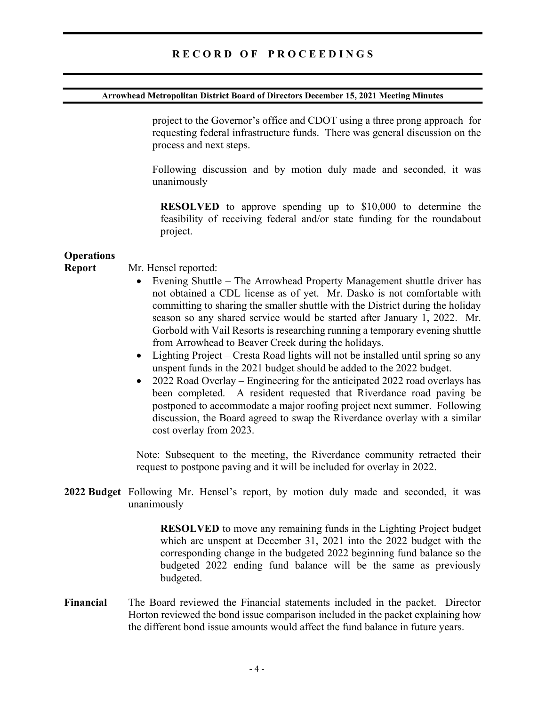#### Arrowhead Metropolitan District Board of Directors December 15, 2021 Meeting Minutes

project to the Governor's office and CDOT using a three prong approach for requesting federal infrastructure funds. There was general discussion on the process and next steps.

Following discussion and by motion duly made and seconded, it was unanimously

RESOLVED to approve spending up to \$10,000 to determine the feasibility of receiving federal and/or state funding for the roundabout project.

## **Operations**

#### Report Mr. Hensel reported:

- Evening Shuttle The Arrowhead Property Management shuttle driver has not obtained a CDL license as of yet. Mr. Dasko is not comfortable with committing to sharing the smaller shuttle with the District during the holiday season so any shared service would be started after January 1, 2022. Mr. Gorbold with Vail Resorts is researching running a temporary evening shuttle from Arrowhead to Beaver Creek during the holidays.
- Lighting Project Cresta Road lights will not be installed until spring so any unspent funds in the 2021 budget should be added to the 2022 budget.
- 2022 Road Overlay Engineering for the anticipated 2022 road overlays has been completed. A resident requested that Riverdance road paving be postponed to accommodate a major roofing project next summer. Following discussion, the Board agreed to swap the Riverdance overlay with a similar cost overlay from 2023.

Note: Subsequent to the meeting, the Riverdance community retracted their request to postpone paving and it will be included for overlay in 2022.

2022 Budget Following Mr. Hensel's report, by motion duly made and seconded, it was unanimously

> RESOLVED to move any remaining funds in the Lighting Project budget which are unspent at December 31, 2021 into the 2022 budget with the corresponding change in the budgeted 2022 beginning fund balance so the budgeted 2022 ending fund balance will be the same as previously budgeted.

Financial The Board reviewed the Financial statements included in the packet. Director Horton reviewed the bond issue comparison included in the packet explaining how the different bond issue amounts would affect the fund balance in future years.